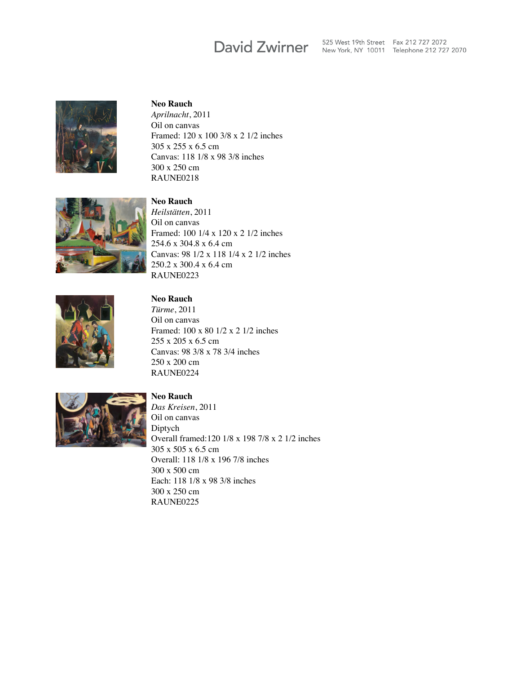# **David Zwirner**

525 West 19th Street Fax 212 727 2072 New York, NY 10011 Telephone 212 727 2070



#### **Neo Rauch**

*Aprilnacht*, 2011 Oil on canvas Framed: 120 x 100 3/8 x 2 1/2 inches 305 x 255 x 6.5 cm Canvas: 118 1/8 x 98 3/8 inches 300 x 250 cm RAUNE0218



### **Neo Rauch** *Heilstätten*, 2011 Oil on canvas Framed: 100 1/4 x 120 x 2 1/2 inches 254.6 x 304.8 x 6.4 cm Canvas: 98 1/2 x 118 1/4 x 2 1/2 inches 250.2 x 300.4 x 6.4 cm RAUNE0223



## **Neo Rauch**

*Türme*, 2011 Oil on canvas Framed: 100 x 80 1/2 x 2 1/2 inches 255 x 205 x 6.5 cm Canvas: 98 3/8 x 78 3/4 inches 250 x 200 cm RAUNE0224



### **Neo Rauch**

*Das Kreisen*, 2011 Oil on canvas Diptych Overall framed:120 1/8 x 198 7/8 x 2 1/2 inches 305 x 505 x 6.5 cm Overall: 118 1/8 x 196 7/8 inches 300 x 500 cm Each: 118 1/8 x 98 3/8 inches 300 x 250 cm RAUNE0225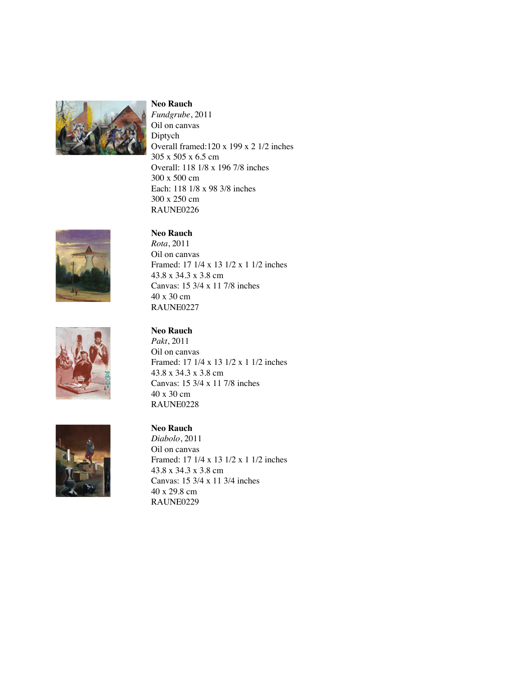

#### **Neo Rauch**

*Fundgrube*, 2011 Oil on canvas Diptych Overall framed:120 x 199 x 2 1/2 inches 305 x 505 x 6.5 cm Overall: 118 1/8 x 196 7/8 inches 300 x 500 cm Each: 118 1/8 x 98 3/8 inches 300 x 250 cm RAUNE0226

Framed: 17 1/4 x 13 1/2 x 1 1/2 inches

Canvas: 15 3/4 x 11 7/8 inches





### **Neo Rauch**

40 x 30 cm RAUNE0227

**Neo Rauch** *Rota*, 2011 Oil on canvas

43.8 x 34.3 x 3.8 cm

*Pakt*, 2011 Oil on canvas Framed: 17 1/4 x 13 1/2 x 1 1/2 inches 43.8 x 34.3 x 3.8 cm Canvas: 15 3/4 x 11 7/8 inches 40 x 30 cm RAUNE0228



## **Neo Rauch**

*Diabolo*, 2011 Oil on canvas Framed: 17 1/4 x 13 1/2 x 1 1/2 inches 43.8 x 34.3 x 3.8 cm Canvas: 15 3/4 x 11 3/4 inches 40 x 29.8 cm RAUNE0229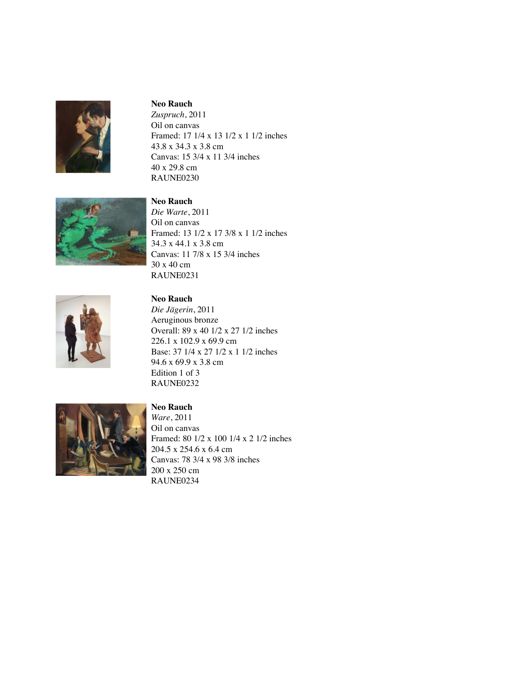

#### **Neo Rauch**

*Zuspruch*, 2011 Oil on canvas Framed: 17 1/4 x 13 1/2 x 1 1/2 inches 43.8 x 34.3 x 3.8 cm Canvas: 15 3/4 x 11 3/4 inches 40 x 29.8 cm RAUNE0230



## **Neo Rauch** *Die Warte*, 2011

Oil on canvas Framed: 13 1/2 x 17 3/8 x 1 1/2 inches 34.3 x 44.1 x 3.8 cm Canvas: 11 7/8 x 15 3/4 inches 30 x 40 cm RAUNE0231



## **Neo Rauch**

*Die Jägerin*, 2011 Aeruginous bronze Overall: 89 x 40 1/2 x 27 1/2 inches 226.1 x 102.9 x 69.9 cm Base: 37 1/4 x 27 1/2 x 1 1/2 inches 94.6 x 69.9 x 3.8 cm Edition 1 of 3 RAUNE0232



## *Ware*, 2011 Oil on canvas Framed: 80 1/2 x 100 1/4 x 2 1/2 inches 204.5 x 254.6 x 6.4 cm

Canvas: 78 3/4 x 98 3/8 inches 200 x 250 cm RAUNE0234